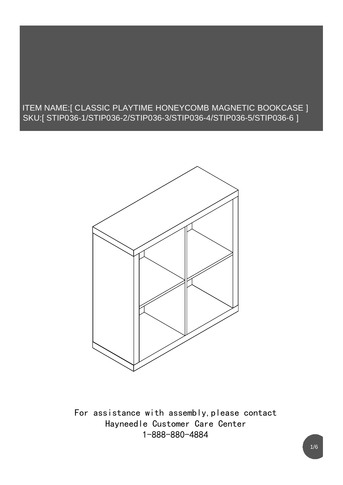#### ITEM NAME:[ CLASSIC PLAYTIME HONEYCOMB MAGNETIC BOOKCASE ] SKU:[ STIP036-1/STIP036-2/STIP036-3/STIP036-4/STIP036-5/STIP036-6 ]



For assistance with assembly, please contact Hayneedle Customer Care Center 1-888-880-4884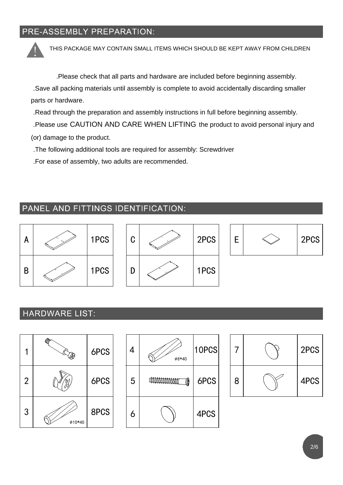### PRE-ASSEMBLY PREPARATION:

THIS PACKAGE MAY CONTAIN SMALL ITEMS WHICH SHOULD BE KEPT AWAY FROM CHILDREN

.Please check that all parts and hardware are included before beginning assembly.

.Save all packing materials until assembly is complete to avoid accidentally discarding smaller parts or hardware.

.Read through the preparation and assembly instructions in full before beginning assembly.

.Please use CAUTION AND CARE WHEN LIFTING the product to avoid personal injury and

(or) damage to the product.

.The following additional tools are required for assembly: Screwdriver

.For ease of assembly, two adults are recommended.

### PANEL AND FITTINGS IDENTIFICATION:



### **HARDWARE LIST:**





|   | 2PCS |  |
|---|------|--|
| 8 | 4PCS |  |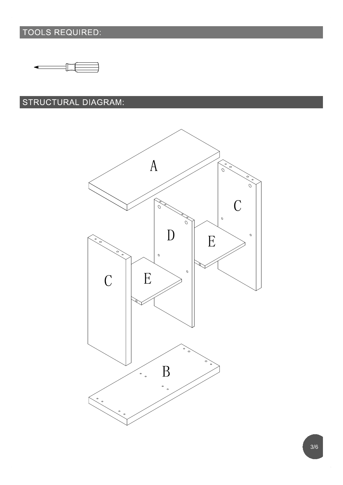## TOOLS REQUIRED:



### STRUCTURAL DIAGRAM:

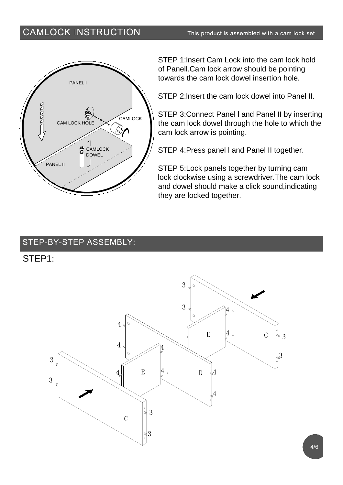### **CAMLOCK INSTRUCTION**



STEP 1:lnsert Cam Lock into the cam lock hold of Panell.Cam lock arrow should be pointing towards the cam lock dowel insertion hole.

STEP 2:lnsert the cam lock dowel into Panel II.

STEP 3:Connect Panel l and Panel II by inserting the cam lock dowel through the hole to which the cam lock arrow is pointing.

STEP 4:Press panel l and Panel II together.

STEP 5:Lock panels together by turning cam lock clockwise using a screwdriver.The cam lock and dowel should make a click sound,indicating they are locked together.

### STEP-BY-STEP ASSEMBLY:

### STEP1:

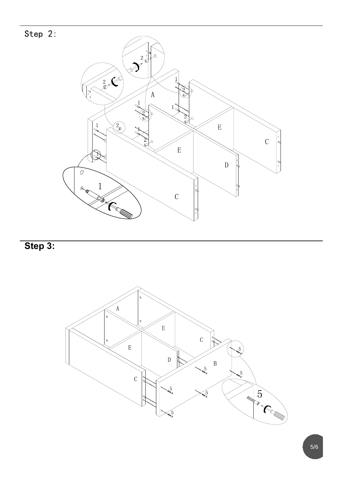

Step 3: